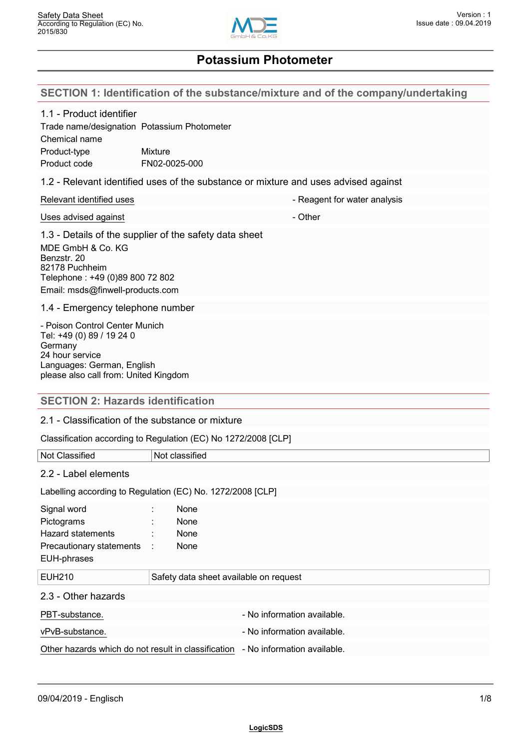

# **SECTION 1: Identification of the substance/mixture and of the company/undertaking**

| 1.1 - Product identifier<br>Trade name/designation Potassium Photometer<br>Chemical name<br>Product-type<br>Product code                                         | <b>Mixture</b><br>FN02-0025-000                                                     |  |
|------------------------------------------------------------------------------------------------------------------------------------------------------------------|-------------------------------------------------------------------------------------|--|
|                                                                                                                                                                  | 1.2 - Relevant identified uses of the substance or mixture and uses advised against |  |
| Relevant identified uses                                                                                                                                         | - Reagent for water analysis                                                        |  |
| Uses advised against                                                                                                                                             | - Other                                                                             |  |
| MDE GmbH & Co. KG<br>Benzstr. 20<br>82178 Puchheim<br>Telephone: +49 (0)89 800 72 802<br>Email: msds@finwell-products.com                                        | 1.3 - Details of the supplier of the safety data sheet                              |  |
| 1.4 - Emergency telephone number                                                                                                                                 |                                                                                     |  |
| - Poison Control Center Munich<br>Tel: +49 (0) 89 / 19 24 0<br>Germany<br>24 hour service<br>Languages: German, English<br>please also call from: United Kingdom |                                                                                     |  |
| <b>SECTION 2: Hazards identification</b>                                                                                                                         |                                                                                     |  |
| 2.1 - Classification of the substance or mixture                                                                                                                 |                                                                                     |  |
|                                                                                                                                                                  | Classification according to Regulation (EC) No 1272/2008 [CLP]                      |  |
| Not Classified                                                                                                                                                   | Not classified                                                                      |  |
| 2.2 - Label elements                                                                                                                                             |                                                                                     |  |
| Labelling according to Regulation (EC) No. 1272/2008 [CLP]                                                                                                       |                                                                                     |  |
| Signal word<br>Pictograms<br><b>Hazard statements</b><br>Precautionary statements<br>EUH-phrases                                                                 | None<br>None<br>None<br>None                                                        |  |
| <b>EUH210</b>                                                                                                                                                    | Safety data sheet available on request                                              |  |
| 2.3 - Other hazards                                                                                                                                              |                                                                                     |  |
| PBT-substance.                                                                                                                                                   | - No information available.                                                         |  |
| vPvB-substance.                                                                                                                                                  | - No information available.                                                         |  |
| Other hazards which do not result in classification                                                                                                              | - No information available.                                                         |  |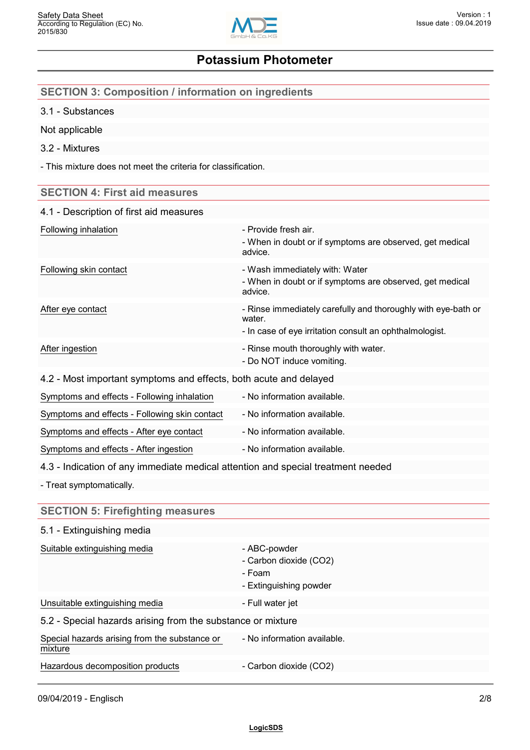

| <b>SECTION 3: Composition / information on ingredients</b>                       |                                                                                                                                    |
|----------------------------------------------------------------------------------|------------------------------------------------------------------------------------------------------------------------------------|
| 3.1 - Substances                                                                 |                                                                                                                                    |
| Not applicable                                                                   |                                                                                                                                    |
| 3.2 - Mixtures                                                                   |                                                                                                                                    |
| - This mixture does not meet the criteria for classification.                    |                                                                                                                                    |
| <b>SECTION 4: First aid measures</b>                                             |                                                                                                                                    |
| 4.1 - Description of first aid measures                                          |                                                                                                                                    |
| Following inhalation                                                             | - Provide fresh air.<br>- When in doubt or if symptoms are observed, get medical<br>advice.                                        |
| Following skin contact                                                           | - Wash immediately with: Water<br>- When in doubt or if symptoms are observed, get medical<br>advice.                              |
| After eye contact                                                                | - Rinse immediately carefully and thoroughly with eye-bath or<br>water.<br>- In case of eye irritation consult an ophthalmologist. |
| After ingestion                                                                  | - Rinse mouth thoroughly with water.<br>- Do NOT induce vomiting.                                                                  |
| 4.2 - Most important symptoms and effects, both acute and delayed                |                                                                                                                                    |
| Symptoms and effects - Following inhalation                                      | - No information available.                                                                                                        |
| Symptoms and effects - Following skin contact                                    | - No information available.                                                                                                        |
| Symptoms and effects - After eye contact                                         | - No information available.                                                                                                        |
| Symptoms and effects - After ingestion                                           | - No information available.                                                                                                        |
| 4.3 - Indication of any immediate medical attention and special treatment needed |                                                                                                                                    |
| - Treat symptomatically.                                                         |                                                                                                                                    |
| <b>SECTION 5: Firefighting measures</b>                                          |                                                                                                                                    |
| 5.1 - Extinguishing media                                                        |                                                                                                                                    |
| Suitable extinguishing media                                                     | - ABC-powder<br>- Carbon dioxide (CO2)<br>- Foam<br>- Extinguishing powder                                                         |
| Unsuitable extinguishing media                                                   | - Full water jet                                                                                                                   |
| 5.2 - Special hazards arising from the substance or mixture                      |                                                                                                                                    |
| Special hazards arising from the substance or<br>mixture                         | - No information available.                                                                                                        |

Hazardous decomposition products - Carbon dioxide (CO2)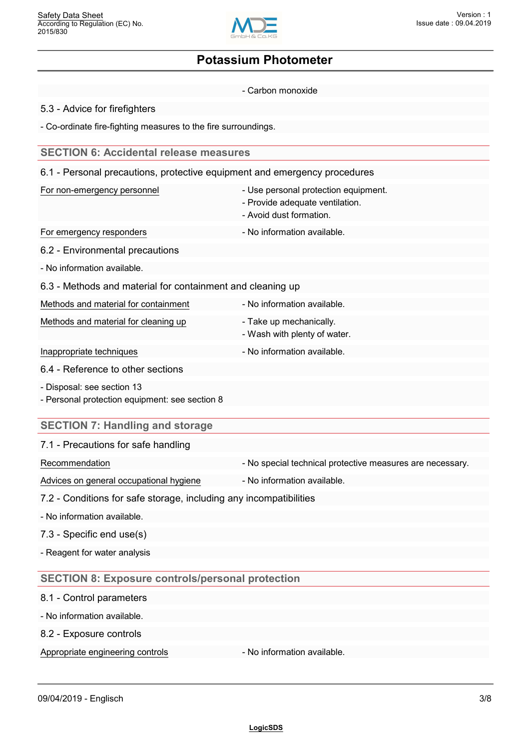

- Carbon monoxide

5.3 - Advice for firefighters

- Co-ordinate fire-fighting measures to the fire surroundings.

## **SECTION 6: Accidental release measures**

6.1 - Personal precautions, protective equipment and emergency procedures

| For non-emergency personnel |  |
|-----------------------------|--|
|-----------------------------|--|

- Use personal protection equipment.
- Provide adequate ventilation.
- Avoid dust formation.
- For emergency responders **For emergency responders** No information available.
- 6.2 Environmental precautions
- No information available.
- 6.3 Methods and material for containment and cleaning up

| Methods and material for containment |  |
|--------------------------------------|--|
|--------------------------------------|--|

Methods and material for cleaning up Take up mechanically.

- No information available.
- Wash with plenty of water.
- Inappropriate techniques **Accord 2018** No information available.
- 6.4 Reference to other sections
- Disposal: see section 13
- Personal protection equipment: see section 8

## **SECTION 7: Handling and storage**

| 7.1 - Precautions for safe handling |  |
|-------------------------------------|--|
|-------------------------------------|--|

- Recommendation **Recommendation** No special technical protective measures are necessary.
- Advices on general occupational hygiene No information available.
- 
- 7.2 Conditions for safe storage, including any incompatibilities
- No information available.
- 7.3 Specific end use(s)
- Reagent for water analysis

## **SECTION 8: Exposure controls/personal protection**

- 8.1 Control parameters
- No information available.
- 8.2 Exposure controls

Appropriate engineering controls **Auditor** - No information available.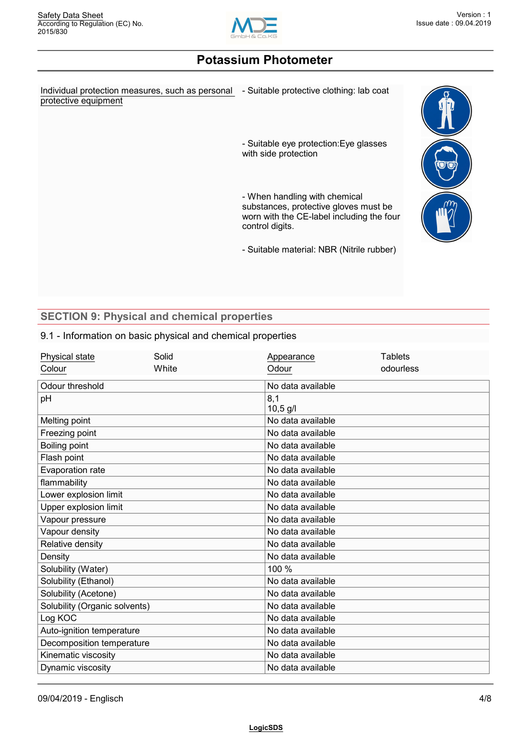

Individual protection measures, such as personal - Suitable protective clothing: lab coat protective equipment

- Suitable eye protection:Eye glasses with side protection

- When handling with chemical substances, protective gloves must be worn with the CE-label including the four control digits.

- Suitable material: NBR (Nitrile rubber)



## **SECTION 9: Physical and chemical properties**

### 9.1 - Information on basic physical and chemical properties

| Physical state                | Solid | Appearance        | <b>Tablets</b> |  |
|-------------------------------|-------|-------------------|----------------|--|
| Colour                        | White | Odour             | odourless      |  |
| Odour threshold               |       | No data available |                |  |
| pH                            |       | 8,1               |                |  |
|                               |       | $10,5$ g/l        |                |  |
| Melting point                 |       | No data available |                |  |
| Freezing point                |       | No data available |                |  |
| Boiling point                 |       | No data available |                |  |
| Flash point                   |       | No data available |                |  |
| Evaporation rate              |       | No data available |                |  |
| flammability                  |       | No data available |                |  |
| Lower explosion limit         |       | No data available |                |  |
| Upper explosion limit         |       | No data available |                |  |
| Vapour pressure               |       | No data available |                |  |
| Vapour density                |       | No data available |                |  |
| Relative density              |       | No data available |                |  |
| Density                       |       | No data available |                |  |
| Solubility (Water)            |       | 100 %             |                |  |
| Solubility (Ethanol)          |       | No data available |                |  |
| Solubility (Acetone)          |       | No data available |                |  |
| Solubility (Organic solvents) |       | No data available |                |  |
| Log KOC                       |       | No data available |                |  |
| Auto-ignition temperature     |       | No data available |                |  |
| Decomposition temperature     |       | No data available |                |  |
| Kinematic viscosity           |       | No data available |                |  |
| Dynamic viscosity             |       | No data available |                |  |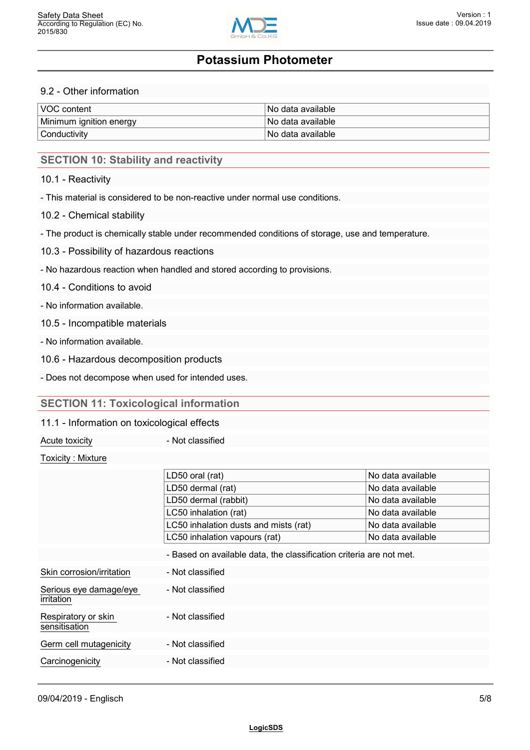

### 9.2 - Other information

| VOC content             | ∃No data available ∶ |
|-------------------------|----------------------|
| Minimum ignition energy | ⊺No data available   |
| Conductivity            | ∃No data available ∶ |

## **SECTION 10: Stability and reactivity**

#### 10.1 - Reactivity

- This material is considered to be non-reactive under normal use conditions.

#### 10.2 - Chemical stability

- The product is chemically stable under recommended conditions of storage, use and temperature.
- 10.3 Possibility of hazardous reactions
- No hazardous reaction when handled and stored according to provisions.

### 10.4 - Conditions to avoid

- No information available.

- 10.5 Incompatible materials
- No information available.
- 10.6 Hazardous decomposition products
- Does not decompose when used for intended uses.

### **SECTION 11: Toxicological information**

#### 11.1 - Information on toxicological effects

Acute toxicity **Acute is a set of the Acute toxicity** and  $\overline{a}$  - Not classified

#### Toxicity : Mixture

|                                      | LD50 oral (rat)                                                     | No data available |  |
|--------------------------------------|---------------------------------------------------------------------|-------------------|--|
|                                      | LD50 dermal (rat)                                                   | No data available |  |
|                                      | LD50 dermal (rabbit)                                                | No data available |  |
|                                      | LC50 inhalation (rat)                                               | No data available |  |
|                                      | LC50 inhalation dusts and mists (rat)                               | No data available |  |
|                                      | LC50 inhalation vapours (rat)                                       | No data available |  |
|                                      | - Based on available data, the classification criteria are not met. |                   |  |
| Skin corrosion/irritation            | - Not classified                                                    |                   |  |
| Serious eye damage/eye<br>irritation | - Not classified                                                    |                   |  |
| Respiratory or skin<br>sensitisation | - Not classified                                                    |                   |  |
| Germ cell mutagenicity               | - Not classified                                                    |                   |  |
| Carcinogenicity                      | - Not classified                                                    |                   |  |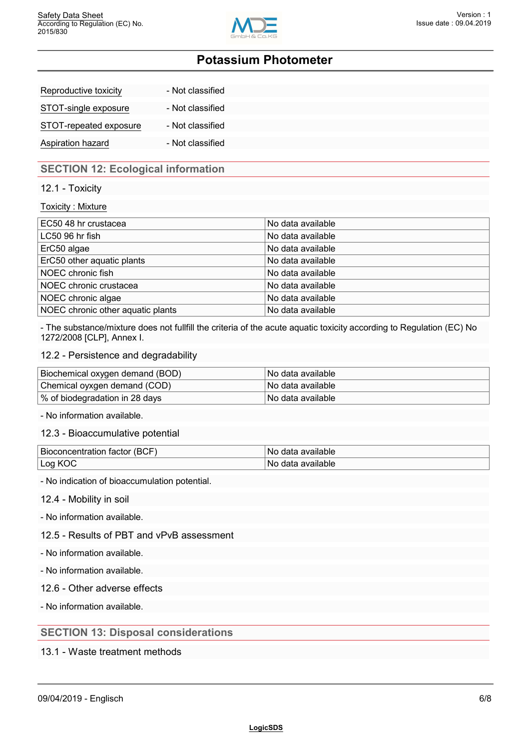

| Reproductive toxicity  | - Not classified |
|------------------------|------------------|
| STOT-single exposure   | - Not classified |
| STOT-repeated exposure | - Not classified |
| Aspiration hazard      | - Not classified |

## **SECTION 12: Ecological information**

### 12.1 - Toxicity

#### Toxicity : Mixture

| EC50 48 hr crustacea              | No data available |  |
|-----------------------------------|-------------------|--|
| LC50 96 hr fish                   | No data available |  |
| ErC50 algae                       | No data available |  |
| ErC50 other aquatic plants        | No data available |  |
| NOEC chronic fish                 | No data available |  |
| NOEC chronic crustacea            | No data available |  |
| NOEC chronic algae                | No data available |  |
| NOEC chronic other aquatic plants | No data available |  |

- The substance/mixture does not fullfill the criteria of the acute aquatic toxicity according to Regulation (EC) No 1272/2008 [CLP], Annex I.

#### 12.2 - Persistence and degradability

| Biochemical oxygen demand (BOD) | ⊟No data available l  |
|---------------------------------|-----------------------|
| Chemical oyxgen demand (COD)    | l No data available l |
| % of biodegradation in 28 days  | l No data available l |

- No information available.

12.3 - Bioaccumulative potential

| Bioconcentration factor (BCF) | available<br>Nο<br>data |
|-------------------------------|-------------------------|
| ∟og K∩                        | available<br>Νc<br>data |

- No indication of bioaccumulation potential.

12.4 - Mobility in soil

- No information available.

12.5 - Results of PBT and vPvB assessment

- No information available.

- No information available.

12.6 - Other adverse effects

- No information available.

## **SECTION 13: Disposal considerations**

13.1 - Waste treatment methods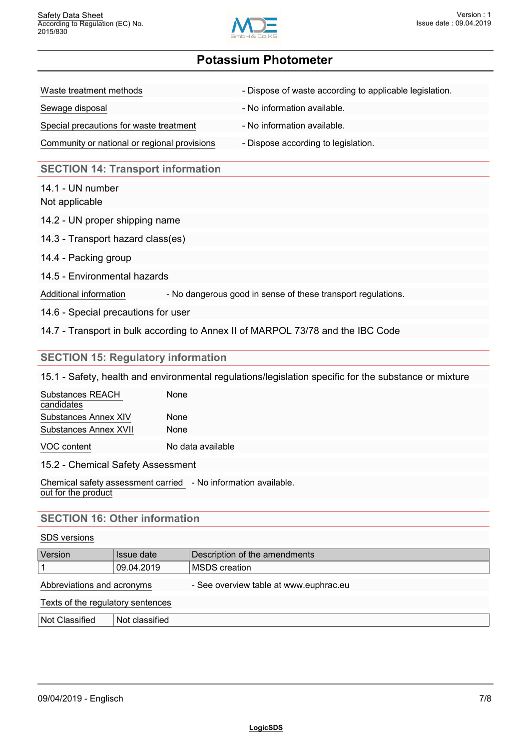

| Waste treatment methods                      | - Dispose of waste according to applicable legislation. |
|----------------------------------------------|---------------------------------------------------------|
| Sewage disposal                              | - No information available.                             |
| Special precautions for waste treatment      | - No information available.                             |
| Community or national or regional provisions | - Dispose according to legislation.                     |

## **SECTION 14: Transport information**

14.1 - UN number Not applicable

- 14.2 UN proper shipping name
- 14.3 Transport hazard class(es)
- 14.4 Packing group
- 14.5 Environmental hazards

Additional information - No dangerous good in sense of these transport regulations.

14.6 - Special precautions for user

14.7 - Transport in bulk according to Annex II of MARPOL 73/78 and the IBC Code

### **SECTION 15: Regulatory information**

15.1 - Safety, health and environmental regulations/legislation specific for the substance or mixture

| Substances REACH<br>candidates | None        |
|--------------------------------|-------------|
| Substances Annex XIV           | <b>None</b> |
| Substances Annex XVII          | <b>None</b> |
|                                |             |

VOC content No data available

15.2 - Chemical Safety Assessment

Chemical safety assessment carried - No information available. out for the product

## **SECTION 16: Other information**

#### SDS versions

| Version                           | Issue date     | Description of the amendments          |
|-----------------------------------|----------------|----------------------------------------|
|                                   | 09.04.2019     | <b>MSDS</b> creation                   |
| Abbreviations and acronyms        |                | - See overview table at www.euphrac.eu |
| Texts of the regulatory sentences |                |                                        |
| Not Classified                    | Not classified |                                        |